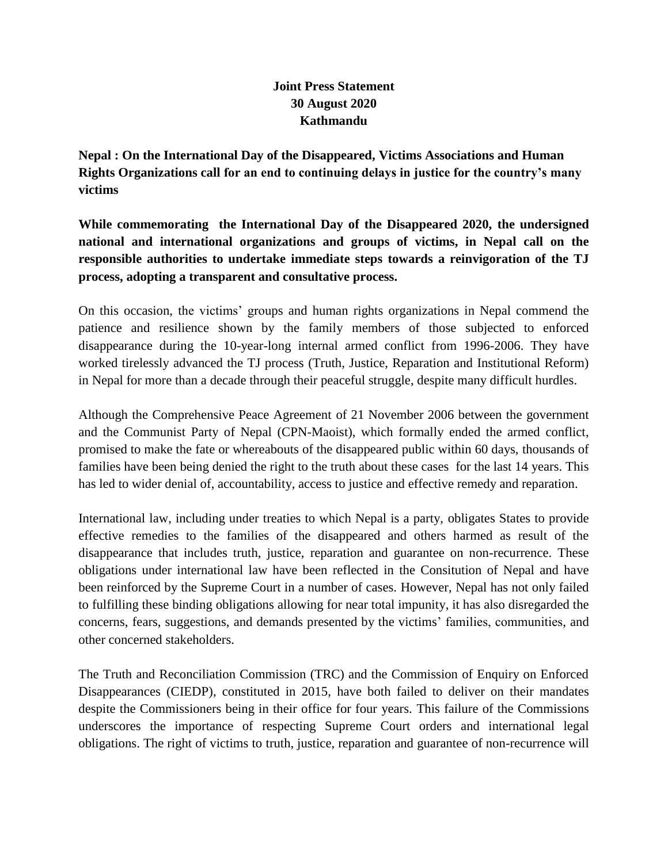## **Joint Press Statement 30 August 2020 Kathmandu**

**Nepal : On the International Day of the Disappeared, Victims Associations and Human Rights Organizations call for an end to continuing delays in justice for the country's many victims** 

**While commemorating the International Day of the Disappeared 2020, the undersigned national and international organizations and groups of victims, in Nepal call on the responsible authorities to undertake immediate steps towards a reinvigoration of the TJ process, adopting a transparent and consultative process.** 

On this occasion, the victims' groups and human rights organizations in Nepal commend the patience and resilience shown by the family members of those subjected to enforced disappearance during the 10-year-long internal armed conflict from 1996-2006. They have worked tirelessly advanced the TJ process (Truth, Justice, Reparation and Institutional Reform) in Nepal for more than a decade through their peaceful struggle, despite many difficult hurdles.

Although the Comprehensive Peace Agreement of 21 November 2006 between the government and the Communist Party of Nepal (CPN-Maoist), which formally ended the armed conflict, promised to make the fate or whereabouts of the disappeared public within 60 days, thousands of families have been being denied the right to the truth about these cases for the last 14 years. This has led to wider denial of, accountability, access to justice and effective remedy and reparation.

International law, including under treaties to which Nepal is a party, obligates States to provide effective remedies to the families of the disappeared and others harmed as result of the disappearance that includes truth, justice, reparation and guarantee on non-recurrence. These obligations under international law have been reflected in the Consitution of Nepal and have been reinforced by the Supreme Court in a number of cases. However, Nepal has not only failed to fulfilling these binding obligations allowing for near total impunity, it has also disregarded the concerns, fears, suggestions, and demands presented by the victims' families, communities, and other concerned stakeholders.

The Truth and Reconciliation Commission (TRC) and the Commission of Enquiry on Enforced Disappearances (CIEDP), constituted in 2015, have both failed to deliver on their mandates despite the Commissioners being in their office for four years. This failure of the Commissions underscores the importance of respecting Supreme Court orders and international legal obligations. The right of victims to truth, justice, reparation and guarantee of non-recurrence will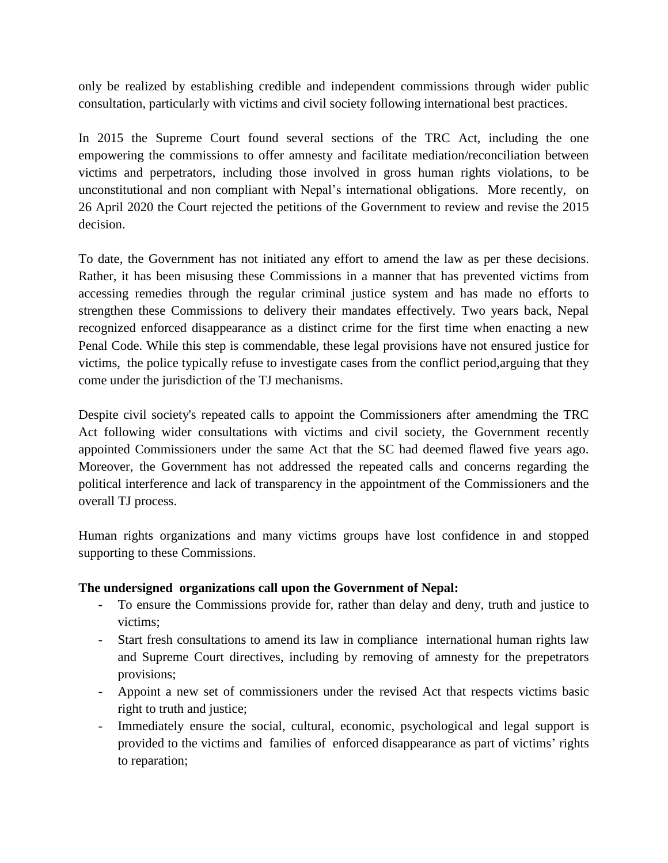only be realized by establishing credible and independent commissions through wider public consultation, particularly with victims and civil society following international best practices.

In 2015 the Supreme Court found several sections of the TRC Act, including the one empowering the commissions to offer amnesty and facilitate mediation/reconciliation between victims and perpetrators, including those involved in gross human rights violations, to be unconstitutional and non compliant with Nepal's international obligations. More recently, on 26 April 2020 the Court rejected the petitions of the Government to review and revise the 2015 decision.

To date, the Government has not initiated any effort to amend the law as per these decisions. Rather, it has been misusing these Commissions in a manner that has prevented victims from accessing remedies through the regular criminal justice system and has made no efforts to strengthen these Commissions to delivery their mandates effectively. Two years back, Nepal recognized enforced disappearance as a distinct crime for the first time when enacting a new Penal Code. While this step is commendable, these legal provisions have not ensured justice for victims, the police typically refuse to investigate cases from the conflict period,arguing that they come under the jurisdiction of the TJ mechanisms.

Despite civil society's repeated calls to appoint the Commissioners after amendming the TRC Act following wider consultations with victims and civil society, the Government recently appointed Commissioners under the same Act that the SC had deemed flawed five years ago. Moreover, the Government has not addressed the repeated calls and concerns regarding the political interference and lack of transparency in the appointment of the Commissioners and the overall TJ process.

Human rights organizations and many victims groups have lost confidence in and stopped supporting to these Commissions.

## **The undersigned organizations call upon the Government of Nepal:**

- To ensure the Commissions provide for, rather than delay and deny, truth and justice to victims;
- Start fresh consultations to amend its law in compliance international human rights law and Supreme Court directives, including by removing of amnesty for the prepetrators provisions;
- Appoint a new set of commissioners under the revised Act that respects victims basic right to truth and justice;
- Immediately ensure the social, cultural, economic, psychological and legal support is provided to the victims and families of enforced disappearance as part of victims' rights to reparation;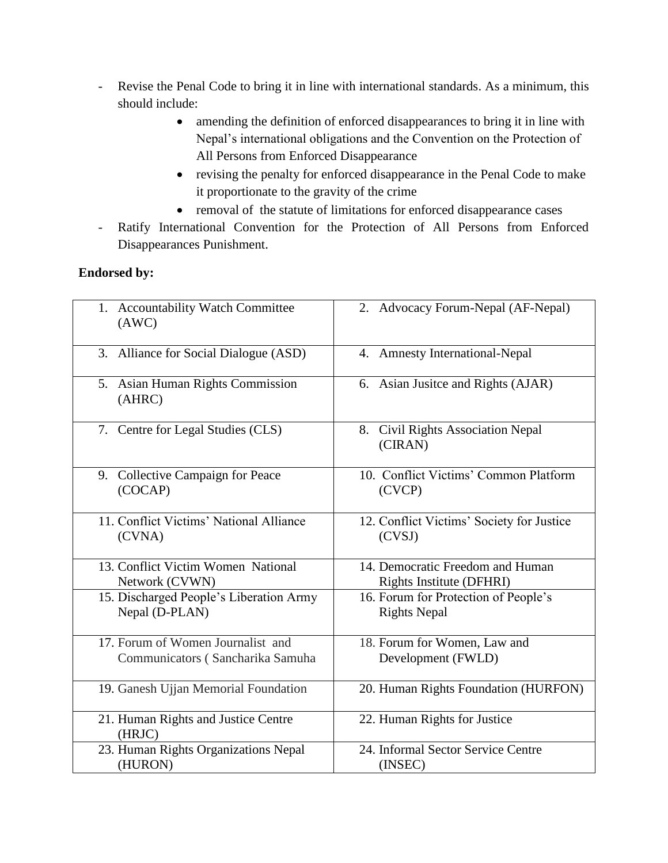- Revise the Penal Code to bring it in line with international standards. As a minimum, this should include:
	- amending the definition of enforced disappearances to bring it in line with Nepal's international obligations and the Convention on the Protection of All Persons from Enforced Disappearance
	- revising the penalty for enforced disappearance in the Penal Code to make it proportionate to the gravity of the crime
	- removal of the statute of limitations for enforced disappearance cases
- Ratify International Convention for the Protection of All Persons from Enforced Disappearances Punishment.

## **Endorsed by:**

| 1. Accountability Watch Committee<br>(AWC)    | 2. Advocacy Forum-Nepal (AF-Nepal)           |
|-----------------------------------------------|----------------------------------------------|
| 3. Alliance for Social Dialogue (ASD)         | 4. Amnesty International-Nepal               |
| 5. Asian Human Rights Commission<br>(AHRC)    | 6. Asian Jusite and Rights (AJAR)            |
| 7. Centre for Legal Studies (CLS)             | 8. Civil Rights Association Nepal<br>(CIRAN) |
| 9. Collective Campaign for Peace              | 10. Conflict Victims' Common Platform        |
| (COCAP)                                       | (CVCP)                                       |
| 11. Conflict Victims' National Alliance       | 12. Conflict Victims' Society for Justice    |
| (CVNA)                                        | (CVSI)                                       |
| 13. Conflict Victim Women National            | 14. Democratic Freedom and Human             |
| Network (CVWN)                                | Rights Institute (DFHRI)                     |
| 15. Discharged People's Liberation Army       | 16. Forum for Protection of People's         |
| Nepal (D-PLAN)                                | <b>Rights Nepal</b>                          |
| 17. Forum of Women Journalist and             | 18. Forum for Women, Law and                 |
| Communicators (Sancharika Samuha              | Development (FWLD)                           |
| 19. Ganesh Ujjan Memorial Foundation          | 20. Human Rights Foundation (HURFON)         |
| 21. Human Rights and Justice Centre<br>(HRJC) | 22. Human Rights for Justice                 |
| 23. Human Rights Organizations Nepal          | 24. Informal Sector Service Centre           |
| (HURON)                                       | (INSEC)                                      |